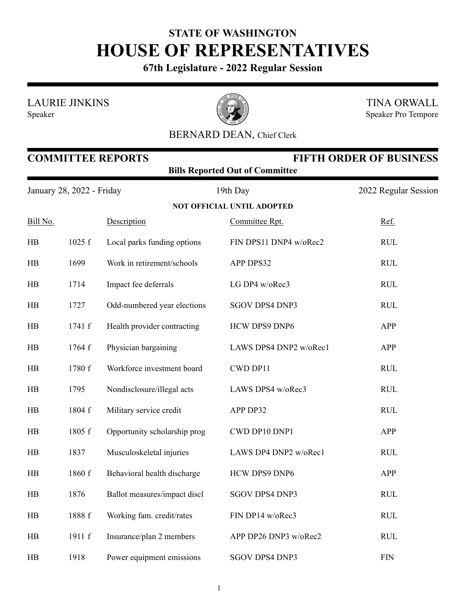## **STATE OF WASHINGTON HOUSE OF REPRESENTATIVES**

**67th Legislature - 2022 Regular Session**

LAURIE JINKINS

Speaker



TINA ORWALL Speaker Pro Tempore

## BERNARD DEAN, Chief Clerk

|                           | <b>FIFTH ORDER OF BUSINESS</b><br><b>COMMITTEE REPORTS</b><br><b>Bills Reported Out of Committee</b> |                              |                                   |                      |  |  |  |  |
|---------------------------|------------------------------------------------------------------------------------------------------|------------------------------|-----------------------------------|----------------------|--|--|--|--|
| January 28, 2022 - Friday |                                                                                                      |                              | 19th Day                          | 2022 Regular Session |  |  |  |  |
|                           |                                                                                                      |                              | <b>NOT OFFICIAL UNTIL ADOPTED</b> |                      |  |  |  |  |
| Bill No.                  |                                                                                                      | Description                  | Committee Rpt.                    | Ref.                 |  |  |  |  |
| HB                        | 1025 f                                                                                               | Local parks funding options  | FIN DPS11 DNP4 w/oRec2            | <b>RUL</b>           |  |  |  |  |
| HB                        | 1699                                                                                                 | Work in retirement/schools   | APP DPS32                         | <b>RUL</b>           |  |  |  |  |
| HB                        | 1714                                                                                                 | Impact fee deferrals         | LG DP4 w/oRec3                    | <b>RUL</b>           |  |  |  |  |
| HB                        | 1727                                                                                                 | Odd-numbered year elections  | <b>SGOV DPS4 DNP3</b>             | <b>RUL</b>           |  |  |  |  |
| HB                        | 1741 f                                                                                               | Health provider contracting  | HCW DPS9 DNP6                     | APP                  |  |  |  |  |
| HB                        | 1764 f                                                                                               | Physician bargaining         | LAWS DPS4 DNP2 w/oRec1            | APP                  |  |  |  |  |
| HB                        | 1780 f                                                                                               | Workforce investment board   | CWD DP11                          | <b>RUL</b>           |  |  |  |  |
| HB                        | 1795                                                                                                 | Nondisclosure/illegal acts   | LAWS DPS4 w/oRec3                 | <b>RUL</b>           |  |  |  |  |
| HB                        | 1804 f                                                                                               | Military service credit      | APP DP32                          | <b>RUL</b>           |  |  |  |  |
| HB                        | 1805 f                                                                                               | Opportunity scholarship prog | CWD DP10 DNP1                     | APP                  |  |  |  |  |
| HB                        | 1837                                                                                                 | Musculoskeletal injuries     | LAWS DP4 DNP2 w/oRec1             | <b>RUL</b>           |  |  |  |  |
| HB                        | 1860 f                                                                                               | Behavioral health discharge  | HCW DPS9 DNP6                     | APP                  |  |  |  |  |
| HB                        | 1876                                                                                                 | Ballot measures/impact discl | SGOV DPS4 DNP3                    | <b>RUL</b>           |  |  |  |  |
| HB                        | 1888 f                                                                                               | Working fam. credit/rates    | FIN DP14 w/oRec3                  | <b>RUL</b>           |  |  |  |  |
| HB                        | 1911 f                                                                                               | Insurance/plan 2 members     | APP DP26 DNP3 w/oRec2             | <b>RUL</b>           |  |  |  |  |
| HB                        | 1918                                                                                                 | Power equipment emissions    | SGOV DPS4 DNP3                    | <b>FIN</b>           |  |  |  |  |